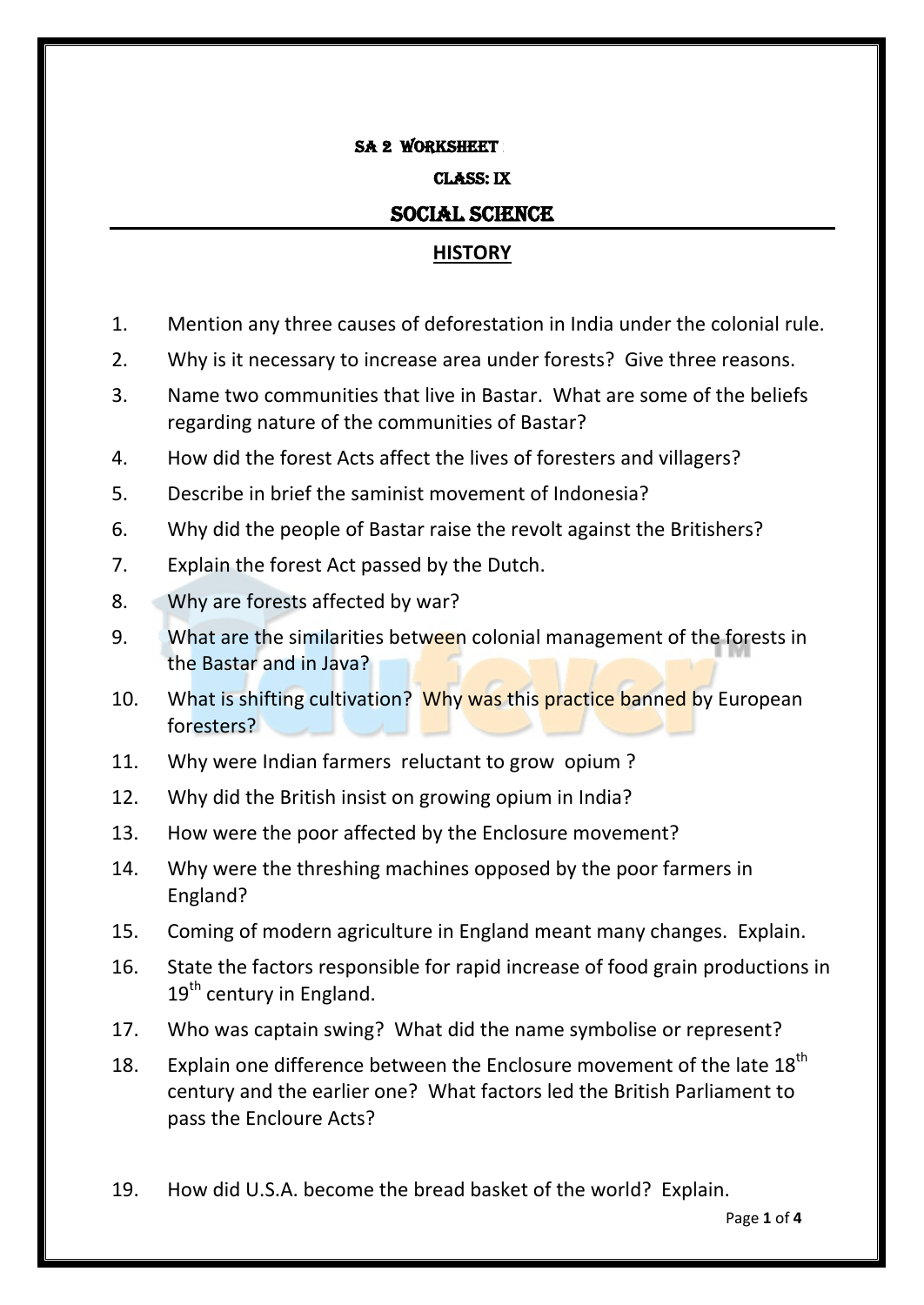#### SA 2 WORKSHEET

#### Class: IX

### SOCIAL SCIENCE

## **HISTORY**

- 1. Mention any three causes of deforestation in India under the colonial rule.
- 2. Why is it necessary to increase area under forests? Give three reasons.
- 3. Name two communities that live in Bastar. What are some of the beliefs regarding nature of the communities of Bastar?
- 4. How did the forest Acts affect the lives of foresters and villagers?
- 5. Describe in brief the saminist movement of Indonesia?
- 6. Why did the people of Bastar raise the revolt against the Britishers?
- 7. Explain the forest Act passed by the Dutch.
- 8. Why are forests affected by war?
- 9. What are the similarities between colonial management of the forests in the Bastar and in Java?
- 10. What is shifting cultivation? Why was this practice banned by European foresters?
- 11. Why were Indian farmers reluctant to grow opium ?
- 12. Why did the British insist on growing opium in India?
- 13. How were the poor affected by the Enclosure movement?
- 14. Why were the threshing machines opposed by the poor farmers in England?
- 15. Coming of modern agriculture in England meant many changes. Explain.
- 16. State the factors responsible for rapid increase of food grain productions in  $19<sup>th</sup>$  century in England.
- 17. Who was captain swing? What did the name symbolise or represent?
- 18. Explain one difference between the Enclosure movement of the late  $18<sup>th</sup>$ century and the earlier one? What factors led the British Parliament to pass the Encloure Acts?
- 19. How did U.S.A. become the bread basket of the world? Explain.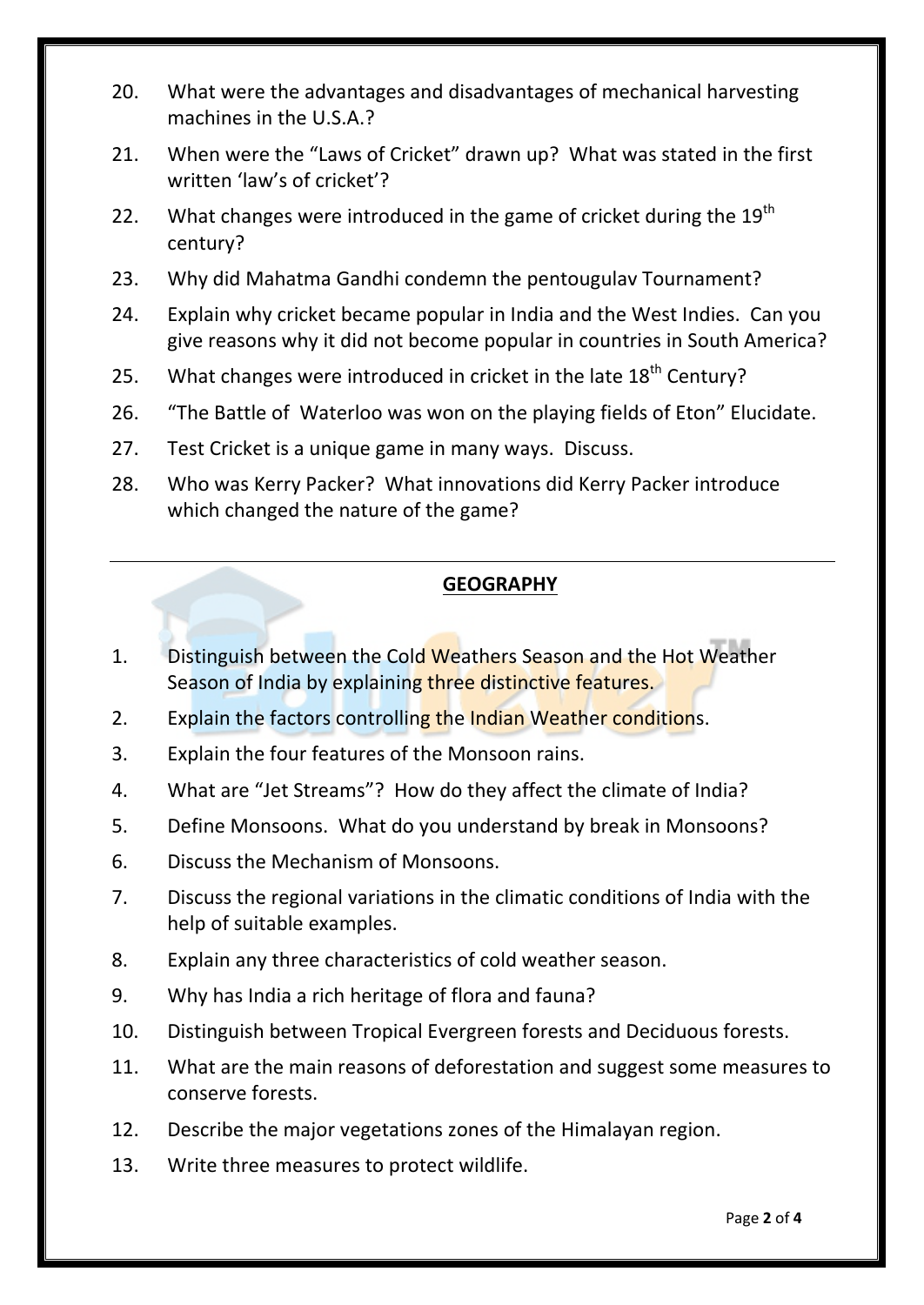- 20. What were the advantages and disadvantages of mechanical harvesting machines in the U.S.A.?
- 21. When were the "Laws of Cricket" drawn up? What was stated in the first written 'law's of cricket'?
- 22. What changes were introduced in the game of cricket during the  $19<sup>th</sup>$ century?
- 23. Why did Mahatma Gandhi condemn the pentougulav Tournament?
- 24. Explain why cricket became popular in India and the West Indies. Can you give reasons why it did not become popular in countries in South America?
- 25. What changes were introduced in cricket in the late  $18<sup>th</sup>$  Century?
- 26. "The Battle of Waterloo was won on the playing fields of Eton" Elucidate.
- 27. Test Cricket is a unique game in many ways. Discuss.
- 28. Who was Kerry Packer? What innovations did Kerry Packer introduce which changed the nature of the game?

# **GEOGRAPHY**

- 1. Distinguish between the Cold Weathers Season and the Hot Weather Season of India by explaining three distinctive features.
- 2. Explain the factors controlling the Indian Weather conditions.
- 3. Explain the four features of the Monsoon rains.
- 4. What are "Jet Streams"? How do they affect the climate of India?
- 5. Define Monsoons. What do you understand by break in Monsoons?
- 6. Discuss the Mechanism of Monsoons.
- 7. Discuss the regional variations in the climatic conditions of India with the help of suitable examples.
- 8. Explain any three characteristics of cold weather season.
- 9. Why has India a rich heritage of flora and fauna?
- 10. Distinguish between Tropical Evergreen forests and Deciduous forests.
- 11. What are the main reasons of deforestation and suggest some measures to conserve forests.
- 12. Describe the major vegetations zones of the Himalayan region.
- 13. Write three measures to protect wildlife.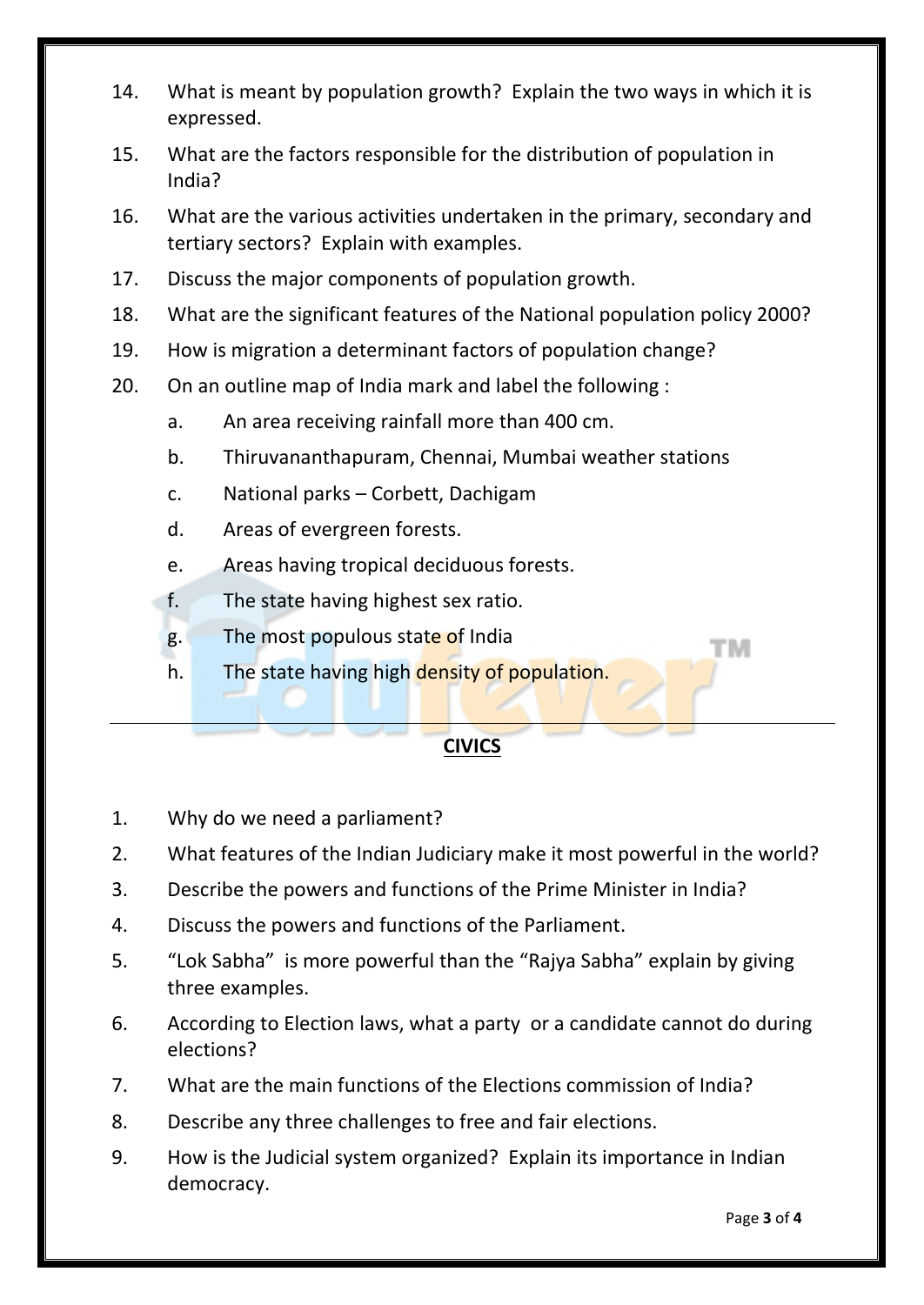- 14. What is meant by population growth? Explain the two ways in which it is expressed.
- 15. What are the factors responsible for the distribution of population in India?
- 16. What are the various activities undertaken in the primary, secondary and tertiary sectors? Explain with examples.
- 17. Discuss the major components of population growth.
- 18. What are the significant features of the National population policy 2000?
- 19. How is migration a determinant factors of population change?
- 20. On an outline map of India mark and label the following :
	- a. An area receiving rainfall more than 400 cm.
	- b. Thiruvananthapuram, Chennai, Mumbai weather stations
	- c. National parks Corbett, Dachigam
	- d. Areas of evergreen forests.
	- e. Areas having tropical deciduous forests.
	- f. The state having highest sex ratio.
	- g. The most populous state of India
	- h. The state having high density of population.

# **CIVICS**

- 1. Why do we need a parliament?
- 2. What features of the Indian Judiciary make it most powerful in the world?
- 3. Describe the powers and functions of the Prime Minister in India?
- 4. Discuss the powers and functions of the Parliament.
- 5. "Lok Sabha" is more powerful than the "Rajya Sabha" explain by giving three examples.
- 6. According to Election laws, what a party or a candidate cannot do during elections?
- 7. What are the main functions of the Elections commission of India?
- 8. Describe any three challenges to free and fair elections.
- 9. How is the Judicial system organized? Explain its importance in Indian democracy.

тм